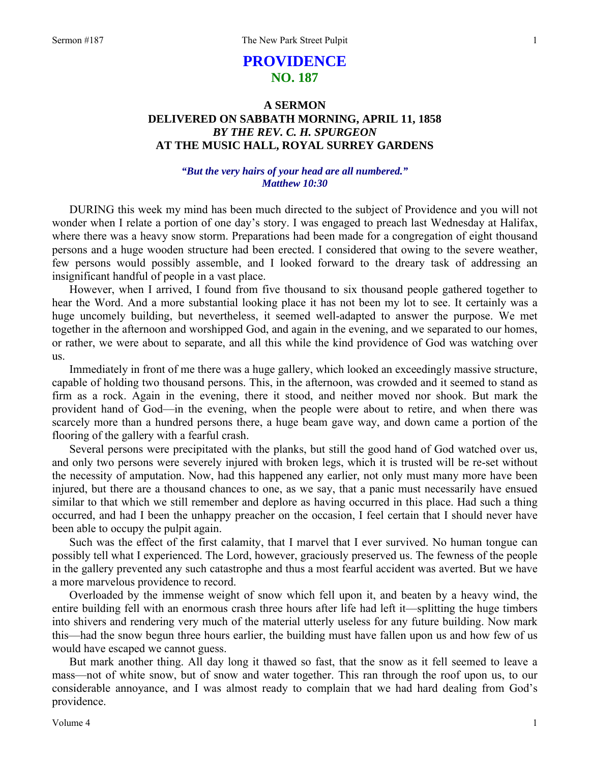# **PROVIDENCE NO. 187**

# **A SERMON DELIVERED ON SABBATH MORNING, APRIL 11, 1858**  *BY THE REV. C. H. SPURGEON*  **AT THE MUSIC HALL, ROYAL SURREY GARDENS**

## *"But the very hairs of your head are all numbered." Matthew 10:30*

DURING this week my mind has been much directed to the subject of Providence and you will not wonder when I relate a portion of one day's story. I was engaged to preach last Wednesday at Halifax, where there was a heavy snow storm. Preparations had been made for a congregation of eight thousand persons and a huge wooden structure had been erected. I considered that owing to the severe weather, few persons would possibly assemble, and I looked forward to the dreary task of addressing an insignificant handful of people in a vast place.

However, when I arrived, I found from five thousand to six thousand people gathered together to hear the Word. And a more substantial looking place it has not been my lot to see. It certainly was a huge uncomely building, but nevertheless, it seemed well-adapted to answer the purpose. We met together in the afternoon and worshipped God, and again in the evening, and we separated to our homes, or rather, we were about to separate, and all this while the kind providence of God was watching over us.

Immediately in front of me there was a huge gallery, which looked an exceedingly massive structure, capable of holding two thousand persons. This, in the afternoon, was crowded and it seemed to stand as firm as a rock. Again in the evening, there it stood, and neither moved nor shook. But mark the provident hand of God—in the evening, when the people were about to retire, and when there was scarcely more than a hundred persons there, a huge beam gave way, and down came a portion of the flooring of the gallery with a fearful crash.

Several persons were precipitated with the planks, but still the good hand of God watched over us, and only two persons were severely injured with broken legs, which it is trusted will be re-set without the necessity of amputation. Now, had this happened any earlier, not only must many more have been injured, but there are a thousand chances to one, as we say, that a panic must necessarily have ensued similar to that which we still remember and deplore as having occurred in this place. Had such a thing occurred, and had I been the unhappy preacher on the occasion, I feel certain that I should never have been able to occupy the pulpit again.

Such was the effect of the first calamity, that I marvel that I ever survived. No human tongue can possibly tell what I experienced. The Lord, however, graciously preserved us. The fewness of the people in the gallery prevented any such catastrophe and thus a most fearful accident was averted. But we have a more marvelous providence to record.

Overloaded by the immense weight of snow which fell upon it, and beaten by a heavy wind, the entire building fell with an enormous crash three hours after life had left it—splitting the huge timbers into shivers and rendering very much of the material utterly useless for any future building. Now mark this—had the snow begun three hours earlier, the building must have fallen upon us and how few of us would have escaped we cannot guess.

But mark another thing. All day long it thawed so fast, that the snow as it fell seemed to leave a mass—not of white snow, but of snow and water together. This ran through the roof upon us, to our considerable annoyance, and I was almost ready to complain that we had hard dealing from God's providence.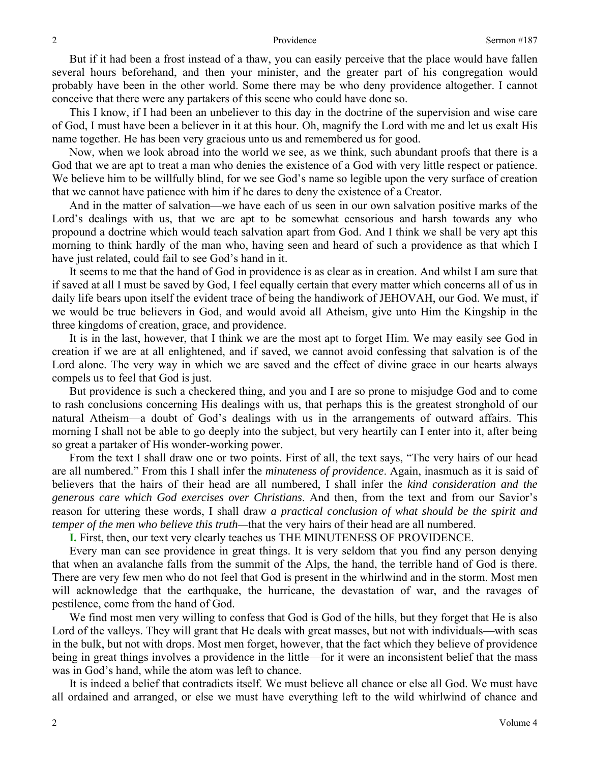But if it had been a frost instead of a thaw, you can easily perceive that the place would have fallen several hours beforehand, and then your minister, and the greater part of his congregation would probably have been in the other world. Some there may be who deny providence altogether. I cannot conceive that there were any partakers of this scene who could have done so.

This I know, if I had been an unbeliever to this day in the doctrine of the supervision and wise care of God, I must have been a believer in it at this hour. Oh, magnify the Lord with me and let us exalt His name together. He has been very gracious unto us and remembered us for good.

Now, when we look abroad into the world we see, as we think, such abundant proofs that there is a God that we are apt to treat a man who denies the existence of a God with very little respect or patience. We believe him to be willfully blind, for we see God's name so legible upon the very surface of creation that we cannot have patience with him if he dares to deny the existence of a Creator.

And in the matter of salvation—we have each of us seen in our own salvation positive marks of the Lord's dealings with us, that we are apt to be somewhat censorious and harsh towards any who propound a doctrine which would teach salvation apart from God. And I think we shall be very apt this morning to think hardly of the man who, having seen and heard of such a providence as that which I have just related, could fail to see God's hand in it.

It seems to me that the hand of God in providence is as clear as in creation. And whilst I am sure that if saved at all I must be saved by God, I feel equally certain that every matter which concerns all of us in daily life bears upon itself the evident trace of being the handiwork of JEHOVAH, our God. We must, if we would be true believers in God, and would avoid all Atheism, give unto Him the Kingship in the three kingdoms of creation, grace, and providence.

It is in the last, however, that I think we are the most apt to forget Him. We may easily see God in creation if we are at all enlightened, and if saved, we cannot avoid confessing that salvation is of the Lord alone. The very way in which we are saved and the effect of divine grace in our hearts always compels us to feel that God is just.

But providence is such a checkered thing, and you and I are so prone to misjudge God and to come to rash conclusions concerning His dealings with us, that perhaps this is the greatest stronghold of our natural Atheism—a doubt of God's dealings with us in the arrangements of outward affairs. This morning I shall not be able to go deeply into the subject, but very heartily can I enter into it, after being so great a partaker of His wonder-working power.

From the text I shall draw one or two points. First of all, the text says, "The very hairs of our head are all numbered." From this I shall infer the *minuteness of providence*. Again, inasmuch as it is said of believers that the hairs of their head are all numbered, I shall infer the *kind consideration and the generous care which God exercises over Christians*. And then, from the text and from our Savior's reason for uttering these words, I shall draw *a practical conclusion of what should be the spirit and temper of the men who believe this truth—*that the very hairs of their head are all numbered.

**I.** First, then, our text very clearly teaches us THE MINUTENESS OF PROVIDENCE.

Every man can see providence in great things. It is very seldom that you find any person denying that when an avalanche falls from the summit of the Alps, the hand, the terrible hand of God is there. There are very few men who do not feel that God is present in the whirlwind and in the storm. Most men will acknowledge that the earthquake, the hurricane, the devastation of war, and the ravages of pestilence, come from the hand of God.

We find most men very willing to confess that God is God of the hills, but they forget that He is also Lord of the valleys. They will grant that He deals with great masses, but not with individuals—with seas in the bulk, but not with drops. Most men forget, however, that the fact which they believe of providence being in great things involves a providence in the little—for it were an inconsistent belief that the mass was in God's hand, while the atom was left to chance.

It is indeed a belief that contradicts itself. We must believe all chance or else all God. We must have all ordained and arranged, or else we must have everything left to the wild whirlwind of chance and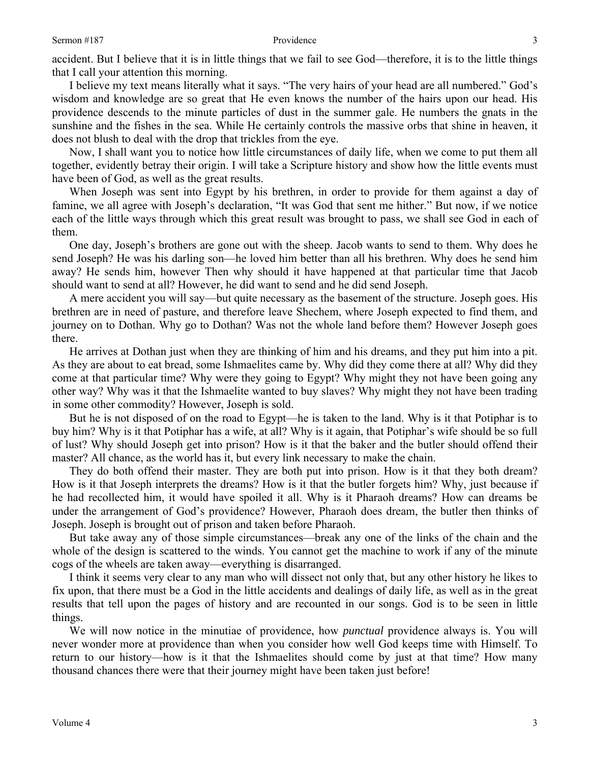accident. But I believe that it is in little things that we fail to see God—therefore, it is to the little things that I call your attention this morning.

I believe my text means literally what it says. "The very hairs of your head are all numbered." God's wisdom and knowledge are so great that He even knows the number of the hairs upon our head. His providence descends to the minute particles of dust in the summer gale. He numbers the gnats in the sunshine and the fishes in the sea. While He certainly controls the massive orbs that shine in heaven, it does not blush to deal with the drop that trickles from the eye.

Now, I shall want you to notice how little circumstances of daily life, when we come to put them all together, evidently betray their origin. I will take a Scripture history and show how the little events must have been of God, as well as the great results.

When Joseph was sent into Egypt by his brethren, in order to provide for them against a day of famine, we all agree with Joseph's declaration, "It was God that sent me hither." But now, if we notice each of the little ways through which this great result was brought to pass, we shall see God in each of them.

One day, Joseph's brothers are gone out with the sheep. Jacob wants to send to them. Why does he send Joseph? He was his darling son—he loved him better than all his brethren. Why does he send him away? He sends him, however Then why should it have happened at that particular time that Jacob should want to send at all? However, he did want to send and he did send Joseph.

A mere accident you will say—but quite necessary as the basement of the structure. Joseph goes. His brethren are in need of pasture, and therefore leave Shechem, where Joseph expected to find them, and journey on to Dothan. Why go to Dothan? Was not the whole land before them? However Joseph goes there.

He arrives at Dothan just when they are thinking of him and his dreams, and they put him into a pit. As they are about to eat bread, some Ishmaelites came by. Why did they come there at all? Why did they come at that particular time? Why were they going to Egypt? Why might they not have been going any other way? Why was it that the Ishmaelite wanted to buy slaves? Why might they not have been trading in some other commodity? However, Joseph is sold.

But he is not disposed of on the road to Egypt—he is taken to the land. Why is it that Potiphar is to buy him? Why is it that Potiphar has a wife, at all? Why is it again, that Potiphar's wife should be so full of lust? Why should Joseph get into prison? How is it that the baker and the butler should offend their master? All chance, as the world has it, but every link necessary to make the chain.

They do both offend their master. They are both put into prison. How is it that they both dream? How is it that Joseph interprets the dreams? How is it that the butler forgets him? Why, just because if he had recollected him, it would have spoiled it all. Why is it Pharaoh dreams? How can dreams be under the arrangement of God's providence? However, Pharaoh does dream, the butler then thinks of Joseph. Joseph is brought out of prison and taken before Pharaoh.

But take away any of those simple circumstances—break any one of the links of the chain and the whole of the design is scattered to the winds. You cannot get the machine to work if any of the minute cogs of the wheels are taken away—everything is disarranged.

I think it seems very clear to any man who will dissect not only that, but any other history he likes to fix upon, that there must be a God in the little accidents and dealings of daily life, as well as in the great results that tell upon the pages of history and are recounted in our songs. God is to be seen in little things.

We will now notice in the minutiae of providence, how *punctual* providence always is. You will never wonder more at providence than when you consider how well God keeps time with Himself. To return to our history—how is it that the Ishmaelites should come by just at that time? How many thousand chances there were that their journey might have been taken just before!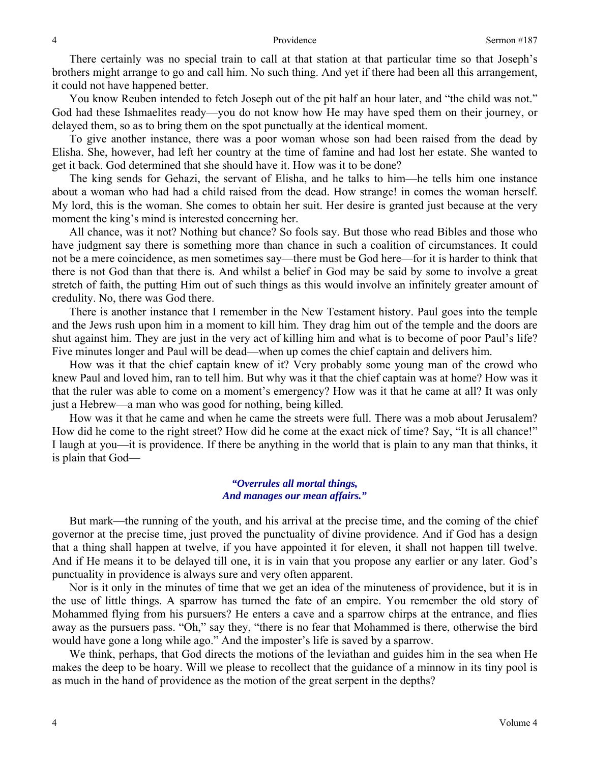There certainly was no special train to call at that station at that particular time so that Joseph's brothers might arrange to go and call him. No such thing. And yet if there had been all this arrangement, it could not have happened better.

You know Reuben intended to fetch Joseph out of the pit half an hour later, and "the child was not." God had these Ishmaelites ready—you do not know how He may have sped them on their journey, or delayed them, so as to bring them on the spot punctually at the identical moment.

To give another instance, there was a poor woman whose son had been raised from the dead by Elisha. She, however, had left her country at the time of famine and had lost her estate. She wanted to get it back. God determined that she should have it. How was it to be done?

The king sends for Gehazi, the servant of Elisha, and he talks to him—he tells him one instance about a woman who had had a child raised from the dead. How strange! in comes the woman herself. My lord, this is the woman. She comes to obtain her suit. Her desire is granted just because at the very moment the king's mind is interested concerning her.

All chance, was it not? Nothing but chance? So fools say. But those who read Bibles and those who have judgment say there is something more than chance in such a coalition of circumstances. It could not be a mere coincidence, as men sometimes say—there must be God here—for it is harder to think that there is not God than that there is. And whilst a belief in God may be said by some to involve a great stretch of faith, the putting Him out of such things as this would involve an infinitely greater amount of credulity. No, there was God there.

There is another instance that I remember in the New Testament history. Paul goes into the temple and the Jews rush upon him in a moment to kill him. They drag him out of the temple and the doors are shut against him. They are just in the very act of killing him and what is to become of poor Paul's life? Five minutes longer and Paul will be dead—when up comes the chief captain and delivers him.

How was it that the chief captain knew of it? Very probably some young man of the crowd who knew Paul and loved him, ran to tell him. But why was it that the chief captain was at home? How was it that the ruler was able to come on a moment's emergency? How was it that he came at all? It was only just a Hebrew—a man who was good for nothing, being killed.

How was it that he came and when he came the streets were full. There was a mob about Jerusalem? How did he come to the right street? How did he come at the exact nick of time? Say, "It is all chance!" I laugh at you—it is providence. If there be anything in the world that is plain to any man that thinks, it is plain that God—

### *"Overrules all mortal things, And manages our mean affairs."*

But mark—the running of the youth, and his arrival at the precise time, and the coming of the chief governor at the precise time, just proved the punctuality of divine providence. And if God has a design that a thing shall happen at twelve, if you have appointed it for eleven, it shall not happen till twelve. And if He means it to be delayed till one, it is in vain that you propose any earlier or any later. God's punctuality in providence is always sure and very often apparent.

Nor is it only in the minutes of time that we get an idea of the minuteness of providence, but it is in the use of little things. A sparrow has turned the fate of an empire. You remember the old story of Mohammed flying from his pursuers? He enters a cave and a sparrow chirps at the entrance, and flies away as the pursuers pass. "Oh," say they, "there is no fear that Mohammed is there, otherwise the bird would have gone a long while ago." And the imposter's life is saved by a sparrow.

We think, perhaps, that God directs the motions of the leviathan and guides him in the sea when He makes the deep to be hoary. Will we please to recollect that the guidance of a minnow in its tiny pool is as much in the hand of providence as the motion of the great serpent in the depths?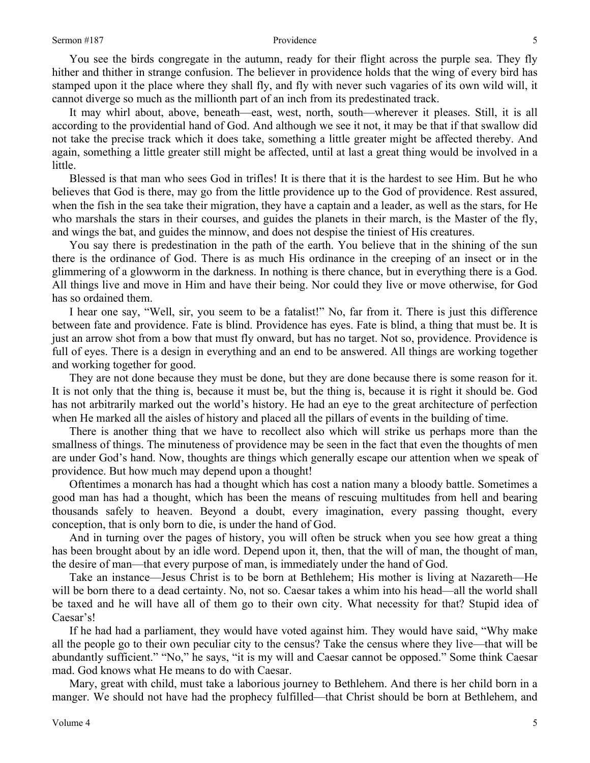You see the birds congregate in the autumn, ready for their flight across the purple sea. They fly hither and thither in strange confusion. The believer in providence holds that the wing of every bird has stamped upon it the place where they shall fly, and fly with never such vagaries of its own wild will, it cannot diverge so much as the millionth part of an inch from its predestinated track.

It may whirl about, above, beneath—east, west, north, south—wherever it pleases. Still, it is all according to the providential hand of God. And although we see it not, it may be that if that swallow did not take the precise track which it does take, something a little greater might be affected thereby. And again, something a little greater still might be affected, until at last a great thing would be involved in a little.

Blessed is that man who sees God in trifles! It is there that it is the hardest to see Him. But he who believes that God is there, may go from the little providence up to the God of providence. Rest assured, when the fish in the sea take their migration, they have a captain and a leader, as well as the stars, for He who marshals the stars in their courses, and guides the planets in their march, is the Master of the fly, and wings the bat, and guides the minnow, and does not despise the tiniest of His creatures.

You say there is predestination in the path of the earth. You believe that in the shining of the sun there is the ordinance of God. There is as much His ordinance in the creeping of an insect or in the glimmering of a glowworm in the darkness. In nothing is there chance, but in everything there is a God. All things live and move in Him and have their being. Nor could they live or move otherwise, for God has so ordained them.

I hear one say, "Well, sir, you seem to be a fatalist!" No, far from it. There is just this difference between fate and providence. Fate is blind. Providence has eyes. Fate is blind, a thing that must be. It is just an arrow shot from a bow that must fly onward, but has no target. Not so, providence. Providence is full of eyes. There is a design in everything and an end to be answered. All things are working together and working together for good.

They are not done because they must be done, but they are done because there is some reason for it. It is not only that the thing is, because it must be, but the thing is, because it is right it should be. God has not arbitrarily marked out the world's history. He had an eye to the great architecture of perfection when He marked all the aisles of history and placed all the pillars of events in the building of time.

There is another thing that we have to recollect also which will strike us perhaps more than the smallness of things. The minuteness of providence may be seen in the fact that even the thoughts of men are under God's hand. Now, thoughts are things which generally escape our attention when we speak of providence. But how much may depend upon a thought!

Oftentimes a monarch has had a thought which has cost a nation many a bloody battle. Sometimes a good man has had a thought, which has been the means of rescuing multitudes from hell and bearing thousands safely to heaven. Beyond a doubt, every imagination, every passing thought, every conception, that is only born to die, is under the hand of God.

And in turning over the pages of history, you will often be struck when you see how great a thing has been brought about by an idle word. Depend upon it, then, that the will of man, the thought of man, the desire of man—that every purpose of man, is immediately under the hand of God.

Take an instance—Jesus Christ is to be born at Bethlehem; His mother is living at Nazareth—He will be born there to a dead certainty. No, not so. Caesar takes a whim into his head—all the world shall be taxed and he will have all of them go to their own city. What necessity for that? Stupid idea of Caesar's!

If he had had a parliament, they would have voted against him. They would have said, "Why make all the people go to their own peculiar city to the census? Take the census where they live—that will be abundantly sufficient." "No," he says, "it is my will and Caesar cannot be opposed." Some think Caesar mad. God knows what He means to do with Caesar.

Mary, great with child, must take a laborious journey to Bethlehem. And there is her child born in a manger. We should not have had the prophecy fulfilled—that Christ should be born at Bethlehem, and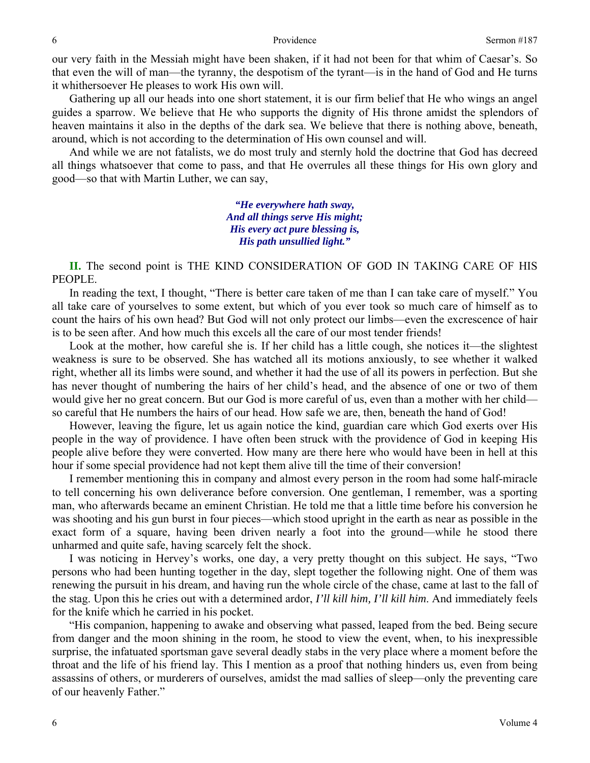our very faith in the Messiah might have been shaken, if it had not been for that whim of Caesar's. So that even the will of man—the tyranny, the despotism of the tyrant—is in the hand of God and He turns it whithersoever He pleases to work His own will.

Gathering up all our heads into one short statement, it is our firm belief that He who wings an angel guides a sparrow. We believe that He who supports the dignity of His throne amidst the splendors of heaven maintains it also in the depths of the dark sea. We believe that there is nothing above, beneath, around, which is not according to the determination of His own counsel and will.

And while we are not fatalists, we do most truly and sternly hold the doctrine that God has decreed all things whatsoever that come to pass, and that He overrules all these things for His own glory and good—so that with Martin Luther, we can say,

> *"He everywhere hath sway, And all things serve His might; His every act pure blessing is, His path unsullied light."*

**II.** The second point is THE KIND CONSIDERATION OF GOD IN TAKING CARE OF HIS PEOPLE.

In reading the text, I thought, "There is better care taken of me than I can take care of myself." You all take care of yourselves to some extent, but which of you ever took so much care of himself as to count the hairs of his own head? But God will not only protect our limbs—even the excrescence of hair is to be seen after. And how much this excels all the care of our most tender friends!

Look at the mother, how careful she is. If her child has a little cough, she notices it—the slightest weakness is sure to be observed. She has watched all its motions anxiously, to see whether it walked right, whether all its limbs were sound, and whether it had the use of all its powers in perfection. But she has never thought of numbering the hairs of her child's head, and the absence of one or two of them would give her no great concern. But our God is more careful of us, even than a mother with her child so careful that He numbers the hairs of our head. How safe we are, then, beneath the hand of God!

However, leaving the figure, let us again notice the kind, guardian care which God exerts over His people in the way of providence. I have often been struck with the providence of God in keeping His people alive before they were converted. How many are there here who would have been in hell at this hour if some special providence had not kept them alive till the time of their conversion!

I remember mentioning this in company and almost every person in the room had some half-miracle to tell concerning his own deliverance before conversion. One gentleman, I remember, was a sporting man, who afterwards became an eminent Christian. He told me that a little time before his conversion he was shooting and his gun burst in four pieces—which stood upright in the earth as near as possible in the exact form of a square, having been driven nearly a foot into the ground—while he stood there unharmed and quite safe, having scarcely felt the shock.

I was noticing in Hervey's works, one day, a very pretty thought on this subject. He says, "Two persons who had been hunting together in the day, slept together the following night. One of them was renewing the pursuit in his dream, and having run the whole circle of the chase, came at last to the fall of the stag. Upon this he cries out with a determined ardor, *I'll kill him, I'll kill him*. And immediately feels for the knife which he carried in his pocket.

"His companion, happening to awake and observing what passed, leaped from the bed. Being secure from danger and the moon shining in the room, he stood to view the event, when, to his inexpressible surprise, the infatuated sportsman gave several deadly stabs in the very place where a moment before the throat and the life of his friend lay. This I mention as a proof that nothing hinders us, even from being assassins of others, or murderers of ourselves, amidst the mad sallies of sleep—only the preventing care of our heavenly Father."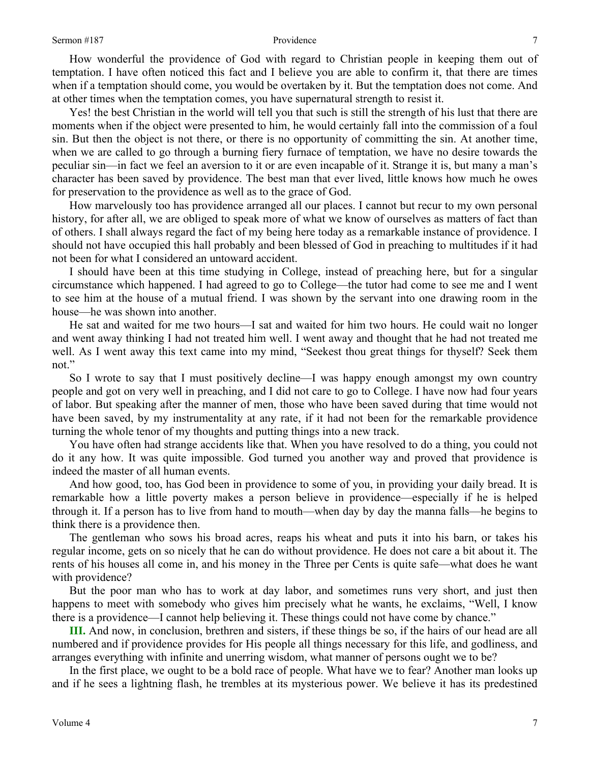How wonderful the providence of God with regard to Christian people in keeping them out of temptation. I have often noticed this fact and I believe you are able to confirm it, that there are times when if a temptation should come, you would be overtaken by it. But the temptation does not come. And at other times when the temptation comes, you have supernatural strength to resist it.

Yes! the best Christian in the world will tell you that such is still the strength of his lust that there are moments when if the object were presented to him, he would certainly fall into the commission of a foul sin. But then the object is not there, or there is no opportunity of committing the sin. At another time, when we are called to go through a burning fiery furnace of temptation, we have no desire towards the peculiar sin—in fact we feel an aversion to it or are even incapable of it. Strange it is, but many a man's character has been saved by providence. The best man that ever lived, little knows how much he owes for preservation to the providence as well as to the grace of God.

How marvelously too has providence arranged all our places. I cannot but recur to my own personal history, for after all, we are obliged to speak more of what we know of ourselves as matters of fact than of others. I shall always regard the fact of my being here today as a remarkable instance of providence. I should not have occupied this hall probably and been blessed of God in preaching to multitudes if it had not been for what I considered an untoward accident.

I should have been at this time studying in College, instead of preaching here, but for a singular circumstance which happened. I had agreed to go to College—the tutor had come to see me and I went to see him at the house of a mutual friend. I was shown by the servant into one drawing room in the house—he was shown into another.

He sat and waited for me two hours—I sat and waited for him two hours. He could wait no longer and went away thinking I had not treated him well. I went away and thought that he had not treated me well. As I went away this text came into my mind, "Seekest thou great things for thyself? Seek them not."

So I wrote to say that I must positively decline—I was happy enough amongst my own country people and got on very well in preaching, and I did not care to go to College. I have now had four years of labor. But speaking after the manner of men, those who have been saved during that time would not have been saved, by my instrumentality at any rate, if it had not been for the remarkable providence turning the whole tenor of my thoughts and putting things into a new track.

You have often had strange accidents like that. When you have resolved to do a thing, you could not do it any how. It was quite impossible. God turned you another way and proved that providence is indeed the master of all human events.

And how good, too, has God been in providence to some of you, in providing your daily bread. It is remarkable how a little poverty makes a person believe in providence—especially if he is helped through it. If a person has to live from hand to mouth—when day by day the manna falls—he begins to think there is a providence then.

The gentleman who sows his broad acres, reaps his wheat and puts it into his barn, or takes his regular income, gets on so nicely that he can do without providence. He does not care a bit about it. The rents of his houses all come in, and his money in the Three per Cents is quite safe—what does he want with providence?

But the poor man who has to work at day labor, and sometimes runs very short, and just then happens to meet with somebody who gives him precisely what he wants, he exclaims, "Well, I know there is a providence—I cannot help believing it. These things could not have come by chance."

**III.** And now, in conclusion, brethren and sisters, if these things be so, if the hairs of our head are all numbered and if providence provides for His people all things necessary for this life, and godliness, and arranges everything with infinite and unerring wisdom, what manner of persons ought we to be?

In the first place, we ought to be a bold race of people. What have we to fear? Another man looks up and if he sees a lightning flash, he trembles at its mysterious power. We believe it has its predestined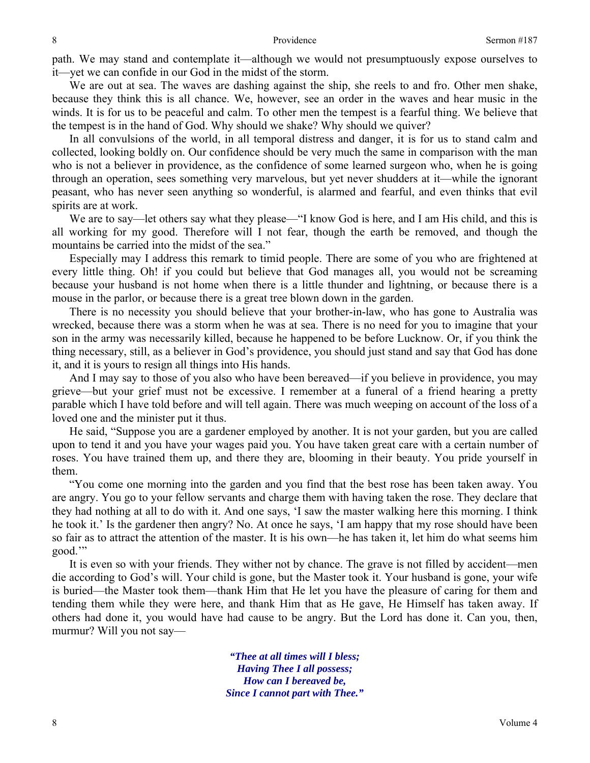path. We may stand and contemplate it—although we would not presumptuously expose ourselves to it—yet we can confide in our God in the midst of the storm.

We are out at sea. The waves are dashing against the ship, she reels to and fro. Other men shake, because they think this is all chance. We, however, see an order in the waves and hear music in the winds. It is for us to be peaceful and calm. To other men the tempest is a fearful thing. We believe that the tempest is in the hand of God. Why should we shake? Why should we quiver?

In all convulsions of the world, in all temporal distress and danger, it is for us to stand calm and collected, looking boldly on. Our confidence should be very much the same in comparison with the man who is not a believer in providence, as the confidence of some learned surgeon who, when he is going through an operation, sees something very marvelous, but yet never shudders at it—while the ignorant peasant, who has never seen anything so wonderful, is alarmed and fearful, and even thinks that evil spirits are at work.

We are to say—let others say what they please—"I know God is here, and I am His child, and this is all working for my good. Therefore will I not fear, though the earth be removed, and though the mountains be carried into the midst of the sea."

Especially may I address this remark to timid people. There are some of you who are frightened at every little thing. Oh! if you could but believe that God manages all, you would not be screaming because your husband is not home when there is a little thunder and lightning, or because there is a mouse in the parlor, or because there is a great tree blown down in the garden.

There is no necessity you should believe that your brother-in-law, who has gone to Australia was wrecked, because there was a storm when he was at sea. There is no need for you to imagine that your son in the army was necessarily killed, because he happened to be before Lucknow. Or, if you think the thing necessary, still, as a believer in God's providence, you should just stand and say that God has done it, and it is yours to resign all things into His hands.

And I may say to those of you also who have been bereaved—if you believe in providence, you may grieve—but your grief must not be excessive. I remember at a funeral of a friend hearing a pretty parable which I have told before and will tell again. There was much weeping on account of the loss of a loved one and the minister put it thus.

He said, "Suppose you are a gardener employed by another. It is not your garden, but you are called upon to tend it and you have your wages paid you. You have taken great care with a certain number of roses. You have trained them up, and there they are, blooming in their beauty. You pride yourself in them.

"You come one morning into the garden and you find that the best rose has been taken away. You are angry. You go to your fellow servants and charge them with having taken the rose. They declare that they had nothing at all to do with it. And one says, 'I saw the master walking here this morning. I think he took it.' Is the gardener then angry? No. At once he says, 'I am happy that my rose should have been so fair as to attract the attention of the master. It is his own—he has taken it, let him do what seems him good.'"

It is even so with your friends. They wither not by chance. The grave is not filled by accident—men die according to God's will. Your child is gone, but the Master took it. Your husband is gone, your wife is buried—the Master took them—thank Him that He let you have the pleasure of caring for them and tending them while they were here, and thank Him that as He gave, He Himself has taken away. If others had done it, you would have had cause to be angry. But the Lord has done it. Can you, then, murmur? Will you not say—

> *"Thee at all times will I bless; Having Thee I all possess; How can I bereaved be, Since I cannot part with Thee."*